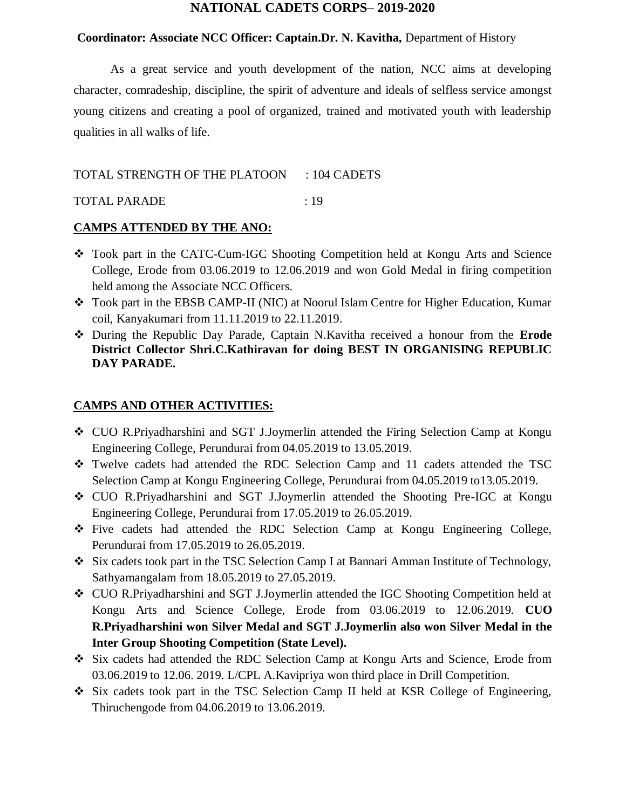#### **NATIONAL CADETS CORPS– 2019-2020**

#### **Coordinator: Associate NCC Officer: Captain.Dr. N. Kavitha,** Department of History

As a great service and youth development of the nation, NCC aims at developing character, comradeship, discipline, the spirit of adventure and ideals of selfless service amongst young citizens and creating a pool of organized, trained and motivated youth with leadership qualities in all walks of life.

### TOTAL STRENGTH OF THE PLATOON : 104 CADETS

## TOTAL PARADE : 19

## **CAMPS ATTENDED BY THE ANO:**

- Took part in the CATC-Cum-IGC Shooting Competition held at Kongu Arts and Science College, Erode from 03.06.2019 to 12.06.2019 and won Gold Medal in firing competition held among the Associate NCC Officers.
- Took part in the EBSB CAMP-II (NIC) at Noorul Islam Centre for Higher Education, Kumar coil, Kanyakumari from 11.11.2019 to 22.11.2019.
- During the Republic Day Parade, Captain N.Kavitha received a honour from the **Erode District Collector Shri.C.Kathiravan for doing BEST IN ORGANISING REPUBLIC DAY PARADE.**

# **CAMPS AND OTHER ACTIVITIES:**

- CUO R.Priyadharshini and SGT J.Joymerlin attended the Firing Selection Camp at Kongu Engineering College, Perundurai from 04.05.2019 to 13.05.2019.
- Twelve cadets had attended the RDC Selection Camp and 11 cadets attended the TSC Selection Camp at Kongu Engineering College, Perundurai from 04.05.2019 to13.05.2019.
- CUO R.Priyadharshini and SGT J.Joymerlin attended the Shooting Pre-IGC at Kongu Engineering College, Perundurai from 17.05.2019 to 26.05.2019.
- Five cadets had attended the RDC Selection Camp at Kongu Engineering College, Perundurai from 17.05.2019 to 26.05.2019.
- Six cadets took part in the TSC Selection Camp I at Bannari Amman Institute of Technology, Sathyamangalam from 18.05.2019 to 27.05.2019.
- CUO R.Priyadharshini and SGT J.Joymerlin attended the IGC Shooting Competition held at Kongu Arts and Science College, Erode from 03.06.2019 to 12.06.2019. **CUO R.Priyadharshini won Silver Medal and SGT J.Joymerlin also won Silver Medal in the Inter Group Shooting Competition (State Level).**
- Six cadets had attended the RDC Selection Camp at Kongu Arts and Science, Erode from 03.06.2019 to 12.06. 2019. L/CPL A.Kavipriya won third place in Drill Competition.
- Six cadets took part in the TSC Selection Camp II held at KSR College of Engineering, Thiruchengode from 04.06.2019 to 13.06.2019.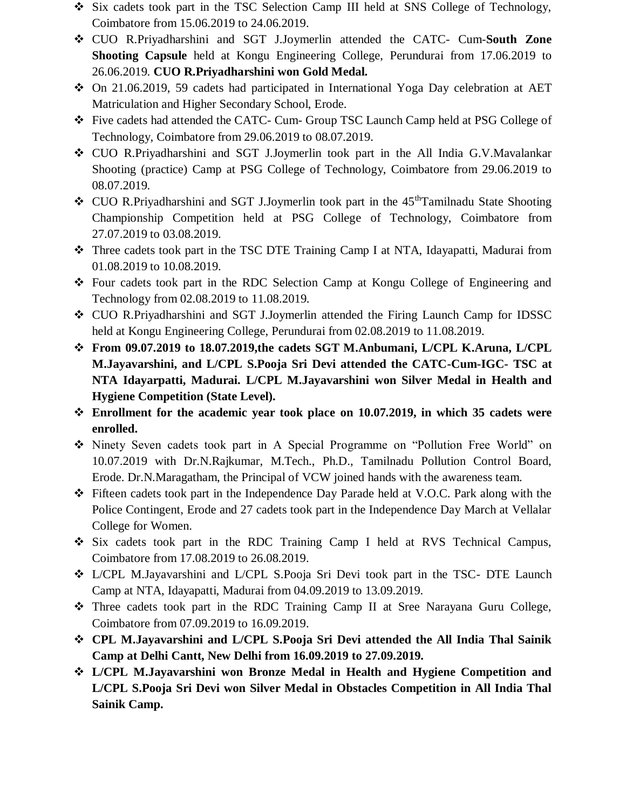- $\div$  Six cadets took part in the TSC Selection Camp III held at SNS College of Technology, Coimbatore from 15.06.2019 to 24.06.2019.
- CUO R.Priyadharshini and SGT J.Joymerlin attended the CATC- Cum-**South Zone Shooting Capsule** held at Kongu Engineering College, Perundurai from 17.06.2019 to 26.06.2019. **CUO R.Priyadharshini won Gold Medal.**
- On 21.06.2019, 59 cadets had participated in International Yoga Day celebration at AET Matriculation and Higher Secondary School, Erode.
- Five cadets had attended the CATC- Cum- Group TSC Launch Camp held at PSG College of Technology, Coimbatore from 29.06.2019 to 08.07.2019.
- CUO R.Priyadharshini and SGT J.Joymerlin took part in the All India G.V.Mavalankar Shooting (practice) Camp at PSG College of Technology, Coimbatore from 29.06.2019 to 08.07.2019.
- ◆ CUO R.Priyadharshini and SGT J.Joymerlin took part in the 45<sup>th</sup>Tamilnadu State Shooting Championship Competition held at PSG College of Technology, Coimbatore from 27.07.2019 to 03.08.2019.
- Three cadets took part in the TSC DTE Training Camp I at NTA, Idayapatti, Madurai from 01.08.2019 to 10.08.2019.
- Four cadets took part in the RDC Selection Camp at Kongu College of Engineering and Technology from 02.08.2019 to 11.08.2019.
- CUO R.Priyadharshini and SGT J.Joymerlin attended the Firing Launch Camp for IDSSC held at Kongu Engineering College, Perundurai from 02.08.2019 to 11.08.2019.
- **From 09.07.2019 to 18.07.2019,the cadets SGT M.Anbumani, L/CPL K.Aruna, L/CPL M.Jayavarshini, and L/CPL S.Pooja Sri Devi attended the CATC-Cum-IGC- TSC at NTA Idayarpatti, Madurai. L/CPL M.Jayavarshini won Silver Medal in Health and Hygiene Competition (State Level).**
- **Enrollment for the academic year took place on 10.07.2019, in which 35 cadets were enrolled.**
- Ninety Seven cadets took part in A Special Programme on "Pollution Free World" on 10.07.2019 with Dr.N.Rajkumar, M.Tech., Ph.D., Tamilnadu Pollution Control Board, Erode. Dr.N.Maragatham, the Principal of VCW joined hands with the awareness team.
- Fifteen cadets took part in the Independence Day Parade held at V.O.C. Park along with the Police Contingent, Erode and 27 cadets took part in the Independence Day March at Vellalar College for Women.
- Six cadets took part in the RDC Training Camp I held at RVS Technical Campus, Coimbatore from 17.08.2019 to 26.08.2019.
- L/CPL M.Jayavarshini and L/CPL S.Pooja Sri Devi took part in the TSC- DTE Launch Camp at NTA, Idayapatti, Madurai from 04.09.2019 to 13.09.2019.
- Three cadets took part in the RDC Training Camp II at Sree Narayana Guru College, Coimbatore from 07.09.2019 to 16.09.2019.
- **CPL M.Jayavarshini and L/CPL S.Pooja Sri Devi attended the All India Thal Sainik Camp at Delhi Cantt, New Delhi from 16.09.2019 to 27.09.2019.**
- **L/CPL M.Jayavarshini won Bronze Medal in Health and Hygiene Competition and L/CPL S.Pooja Sri Devi won Silver Medal in Obstacles Competition in All India Thal Sainik Camp.**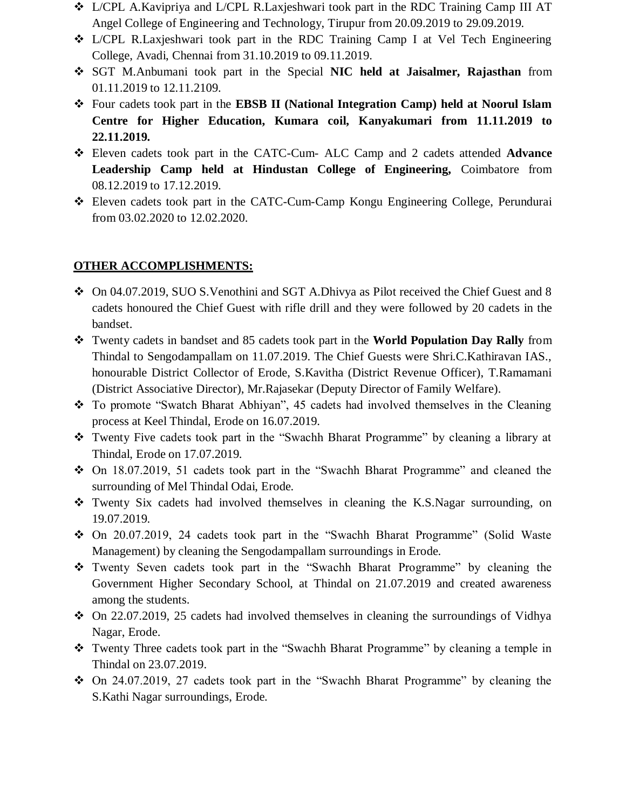- L/CPL A.Kavipriya and L/CPL R.Laxjeshwari took part in the RDC Training Camp III AT Angel College of Engineering and Technology, Tirupur from 20.09.2019 to 29.09.2019.
- L/CPL R.Laxjeshwari took part in the RDC Training Camp I at Vel Tech Engineering College, Avadi, Chennai from 31.10.2019 to 09.11.2019.
- SGT M.Anbumani took part in the Special **NIC held at Jaisalmer, Rajasthan** from 01.11.2019 to 12.11.2109.
- Four cadets took part in the **EBSB II (National Integration Camp) held at Noorul Islam Centre for Higher Education, Kumara coil, Kanyakumari from 11.11.2019 to 22.11.2019.**
- Eleven cadets took part in the CATC-Cum- ALC Camp and 2 cadets attended **Advance Leadership Camp held at Hindustan College of Engineering,** Coimbatore from 08.12.2019 to 17.12.2019.
- Eleven cadets took part in the CATC-Cum-Camp Kongu Engineering College, Perundurai from 03.02.2020 to 12.02.2020.

#### **OTHER ACCOMPLISHMENTS:**

- On 04.07.2019, SUO S.Venothini and SGT A.Dhivya as Pilot received the Chief Guest and 8 cadets honoured the Chief Guest with rifle drill and they were followed by 20 cadets in the bandset.
- Twenty cadets in bandset and 85 cadets took part in the **World Population Day Rally** from Thindal to Sengodampallam on 11.07.2019. The Chief Guests were Shri.C.Kathiravan IAS., honourable District Collector of Erode, S.Kavitha (District Revenue Officer), T.Ramamani (District Associative Director), Mr.Rajasekar (Deputy Director of Family Welfare).
- To promote "Swatch Bharat Abhiyan", 45 cadets had involved themselves in the Cleaning process at Keel Thindal, Erode on 16.07.2019.
- Twenty Five cadets took part in the "Swachh Bharat Programme" by cleaning a library at Thindal, Erode on 17.07.2019.
- On 18.07.2019, 51 cadets took part in the "Swachh Bharat Programme" and cleaned the surrounding of Mel Thindal Odai, Erode.
- Twenty Six cadets had involved themselves in cleaning the K.S.Nagar surrounding, on 19.07.2019.
- On 20.07.2019, 24 cadets took part in the "Swachh Bharat Programme" (Solid Waste Management) by cleaning the Sengodampallam surroundings in Erode.
- \* Twenty Seven cadets took part in the "Swachh Bharat Programme" by cleaning the Government Higher Secondary School, at Thindal on 21.07.2019 and created awareness among the students.
- $\div$  On 22.07.2019, 25 cadets had involved themselves in cleaning the surroundings of Vidhya Nagar, Erode.
- Twenty Three cadets took part in the "Swachh Bharat Programme" by cleaning a temple in Thindal on 23.07.2019.
- On 24.07.2019, 27 cadets took part in the "Swachh Bharat Programme" by cleaning the S.Kathi Nagar surroundings, Erode.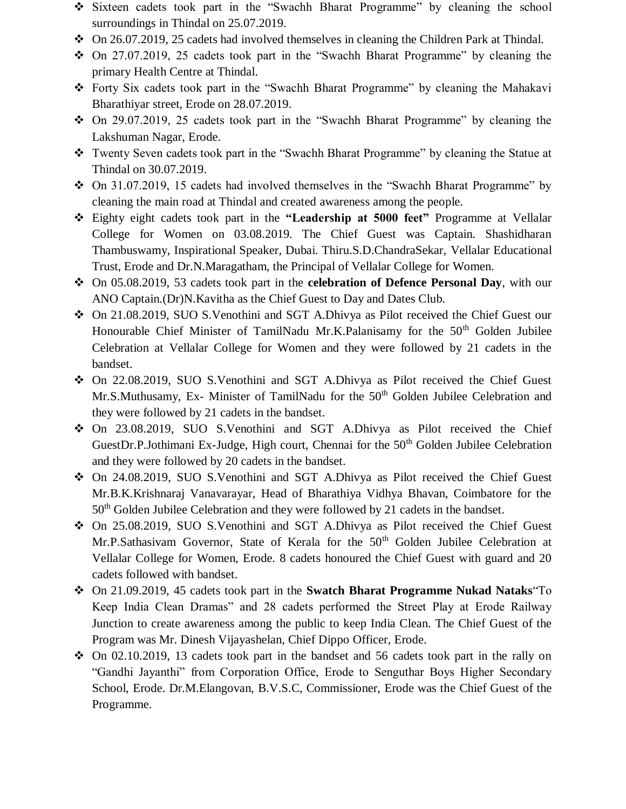- Sixteen cadets took part in the "Swachh Bharat Programme" by cleaning the school surroundings in Thindal on 25.07.2019.
- On 26.07.2019, 25 cadets had involved themselves in cleaning the Children Park at Thindal.
- On 27.07.2019, 25 cadets took part in the "Swachh Bharat Programme" by cleaning the primary Health Centre at Thindal.
- Forty Six cadets took part in the "Swachh Bharat Programme" by cleaning the Mahakavi Bharathiyar street, Erode on 28.07.2019.
- On 29.07.2019, 25 cadets took part in the "Swachh Bharat Programme" by cleaning the Lakshuman Nagar, Erode.
- Twenty Seven cadets took part in the "Swachh Bharat Programme" by cleaning the Statue at Thindal on 30.07.2019.
- On 31.07.2019, 15 cadets had involved themselves in the "Swachh Bharat Programme" by cleaning the main road at Thindal and created awareness among the people.
- Eighty eight cadets took part in the **"Leadership at 5000 feet"** Programme at Vellalar College for Women on 03.08.2019. The Chief Guest was Captain. Shashidharan Thambuswamy, Inspirational Speaker, Dubai. Thiru.S.D.ChandraSekar, Vellalar Educational Trust, Erode and Dr.N.Maragatham, the Principal of Vellalar College for Women.
- On 05.08.2019, 53 cadets took part in the **celebration of Defence Personal Day**, with our ANO Captain.(Dr)N.Kavitha as the Chief Guest to Day and Dates Club.
- On 21.08.2019, SUO S.Venothini and SGT A.Dhivya as Pilot received the Chief Guest our Honourable Chief Minister of TamilNadu Mr.K.Palanisamy for the 50<sup>th</sup> Golden Jubilee Celebration at Vellalar College for Women and they were followed by 21 cadets in the bandset.
- On 22.08.2019, SUO S.Venothini and SGT A.Dhivya as Pilot received the Chief Guest Mr.S.Muthusamy, Ex- Minister of TamilNadu for the 50<sup>th</sup> Golden Jubilee Celebration and they were followed by 21 cadets in the bandset.
- On 23.08.2019, SUO S.Venothini and SGT A.Dhivya as Pilot received the Chief GuestDr.P.Jothimani Ex-Judge, High court, Chennai for the  $50<sup>th</sup>$  Golden Jubilee Celebration and they were followed by 20 cadets in the bandset.
- On 24.08.2019, SUO S.Venothini and SGT A.Dhivya as Pilot received the Chief Guest Mr.B.K.Krishnaraj Vanavarayar, Head of Bharathiya Vidhya Bhavan, Coimbatore for the 50<sup>th</sup> Golden Jubilee Celebration and they were followed by 21 cadets in the bandset.
- On 25.08.2019, SUO S.Venothini and SGT A.Dhivya as Pilot received the Chief Guest Mr.P.Sathasivam Governor, State of Kerala for the  $50<sup>th</sup>$  Golden Jubilee Celebration at Vellalar College for Women, Erode. 8 cadets honoured the Chief Guest with guard and 20 cadets followed with bandset.
- On 21.09.2019, 45 cadets took part in the **Swatch Bharat Programme Nukad Nataks**"To Keep India Clean Dramas" and 28 cadets performed the Street Play at Erode Railway Junction to create awareness among the public to keep India Clean. The Chief Guest of the Program was Mr. Dinesh Vijayashelan, Chief Dippo Officer, Erode.
- $\div$  On 02.10.2019, 13 cadets took part in the bandset and 56 cadets took part in the rally on "Gandhi Jayanthi" from Corporation Office, Erode to Senguthar Boys Higher Secondary School, Erode. Dr.M.Elangovan, B.V.S.C, Commissioner, Erode was the Chief Guest of the Programme.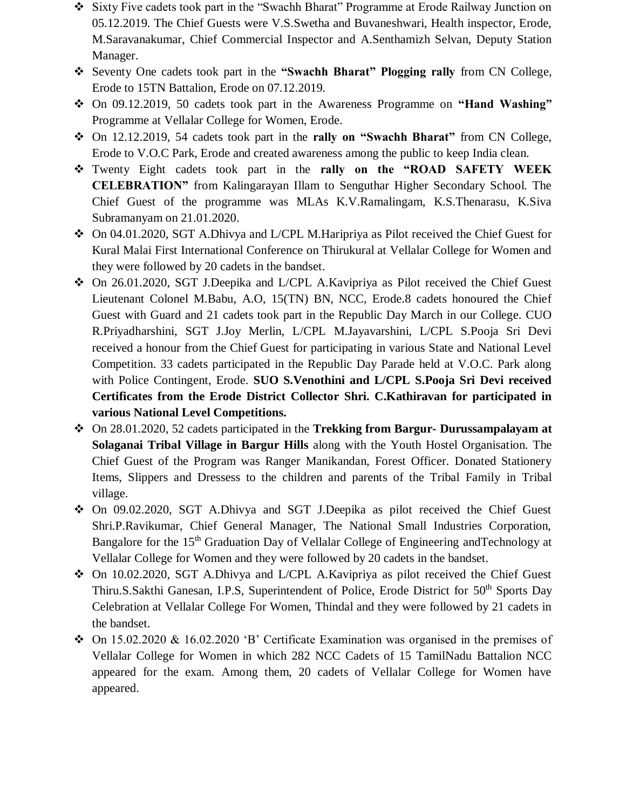- Sixty Five cadets took part in the "Swachh Bharat" Programme at Erode Railway Junction on 05.12.2019. The Chief Guests were V.S.Swetha and Buvaneshwari, Health inspector, Erode, M.Saravanakumar, Chief Commercial Inspector and A.Senthamizh Selvan, Deputy Station Manager.
- Seventy One cadets took part in the **"Swachh Bharat" Plogging rally** from CN College, Erode to 15TN Battalion, Erode on 07.12.2019.
- On 09.12.2019, 50 cadets took part in the Awareness Programme on **"Hand Washing"** Programme at Vellalar College for Women, Erode.
- On 12.12.2019, 54 cadets took part in the **rally on "Swachh Bharat"** from CN College, Erode to V.O.C Park, Erode and created awareness among the public to keep India clean.
- Twenty Eight cadets took part in the **rally on the "ROAD SAFETY WEEK CELEBRATION"** from Kalingarayan Illam to Senguthar Higher Secondary School. The Chief Guest of the programme was MLAs K.V.Ramalingam, K.S.Thenarasu, K.Siva Subramanyam on 21.01.2020.
- On 04.01.2020, SGT A.Dhivya and L/CPL M.Haripriya as Pilot received the Chief Guest for Kural Malai First International Conference on Thirukural at Vellalar College for Women and they were followed by 20 cadets in the bandset.
- $\div$  On 26.01.2020, SGT J.Deepika and L/CPL A.Kavipriya as Pilot received the Chief Guest Lieutenant Colonel M.Babu, A.O, 15(TN) BN, NCC, Erode.8 cadets honoured the Chief Guest with Guard and 21 cadets took part in the Republic Day March in our College. CUO R.Priyadharshini, SGT J.Joy Merlin, L/CPL M.Jayavarshini, L/CPL S.Pooja Sri Devi received a honour from the Chief Guest for participating in various State and National Level Competition. 33 cadets participated in the Republic Day Parade held at V.O.C. Park along with Police Contingent, Erode. **SUO S.Venothini and L/CPL S.Pooja Sri Devi received Certificates from the Erode District Collector Shri. C.Kathiravan for participated in various National Level Competitions.**
- On 28.01.2020, 52 cadets participated in the **Trekking from Bargur- Durussampalayam at Solaganai Tribal Village in Bargur Hills** along with the Youth Hostel Organisation. The Chief Guest of the Program was Ranger Manikandan, Forest Officer. Donated Stationery Items, Slippers and Dressess to the children and parents of the Tribal Family in Tribal village.
- On 09.02.2020, SGT A.Dhivya and SGT J.Deepika as pilot received the Chief Guest Shri.P.Ravikumar, Chief General Manager, The National Small Industries Corporation, Bangalore for the 15<sup>th</sup> Graduation Day of Vellalar College of Engineering and Technology at Vellalar College for Women and they were followed by 20 cadets in the bandset.
- On 10.02.2020, SGT A.Dhivya and L/CPL A.Kavipriya as pilot received the Chief Guest Thiru.S.Sakthi Ganesan, I.P.S, Superintendent of Police, Erode District for 50<sup>th</sup> Sports Day Celebration at Vellalar College For Women, Thindal and they were followed by 21 cadets in the bandset.
- On 15.02.2020 & 16.02.2020 'B' Certificate Examination was organised in the premises of Vellalar College for Women in which 282 NCC Cadets of 15 TamilNadu Battalion NCC appeared for the exam. Among them, 20 cadets of Vellalar College for Women have appeared.